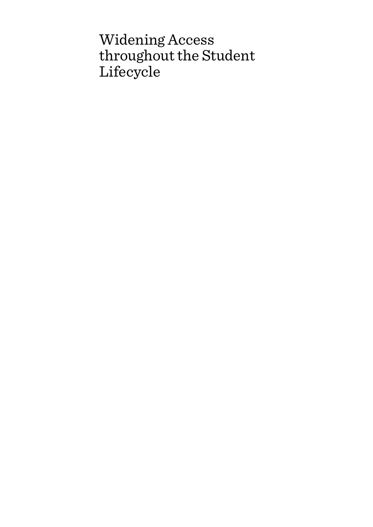# Widening Access throughout the Student Lifecycle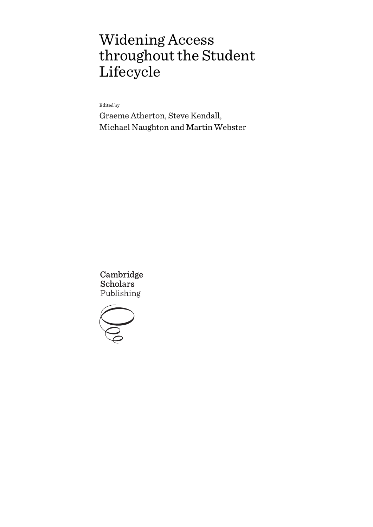# Widening Access throughout the Student Lifecycle

Edited by

Graeme Atherton, Steve Kendall, Michael Naughton and Martin Webster

Cambridge **Scholars** Publishing

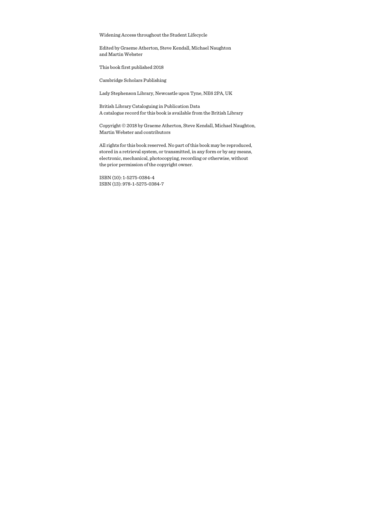Widening Access throughout the Student Lifecycle

Edited by Graeme Atherton, Steve Kendall, Michael Naughton and Martin Webster

This book first published 2018

Cambridge Scholars Publishing

Lady Stephenson Library, Newcastle upon Tyne, NE6 2PA, UK

British Library Cataloguing in Publication Data A catalogue record for this book is available from the British Library

Copyright © 2018 by Graeme Atherton, Steve Kendall, Michael Naughton, Martin Webster and contributors

All rights for this book reserved. No part of this book may be reproduced, stored in a retrieval system, or transmitted, in any form or by any means, electronic, mechanical, photocopying, recording or otherwise, without the prior permission of the copyright owner.

ISBN (10): 1-5275-0384-4 ISBN (13): 978-1-5275-0384-7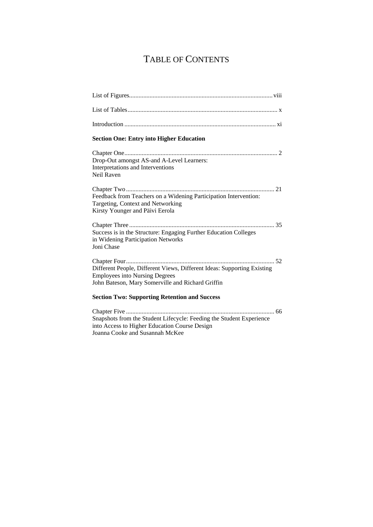# TABLE OF CONTENTS

| <b>Section One: Entry into Higher Education</b>                                                                                                                       |
|-----------------------------------------------------------------------------------------------------------------------------------------------------------------------|
| Drop-Out amongst AS-and A-Level Learners:<br>Interpretations and Interventions<br>Neil Raven                                                                          |
| Feedback from Teachers on a Widening Participation Intervention:<br>Targeting, Context and Networking<br>Kirsty Younger and Päivi Eerola                              |
| Success is in the Structure: Engaging Further Education Colleges<br>in Widening Participation Networks<br>Joni Chase                                                  |
| Different People, Different Views, Different Ideas: Supporting Existing<br><b>Employees into Nursing Degrees</b><br>John Bateson, Mary Somerville and Richard Griffin |
| <b>Section Two: Supporting Retention and Success</b>                                                                                                                  |
| Snapshots from the Student Lifecycle: Feeding the Student Experience<br>into Access to Higher Education Course Design                                                 |

Joanna Cooke and Susannah McKee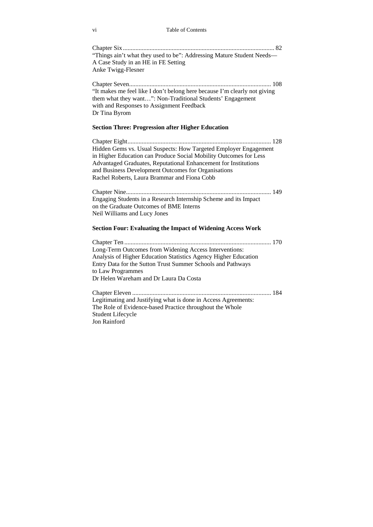vi Table of Contents

Chapter Six ................................................................................................ 82 "Things ain't what they used to be": Addressing Mature Student Needs— A Case Study in an HE in FE Setting Anke Twigg-Flesner

Chapter Seven .......................................................................................... 108 "It makes me feel like I don't belong here because I'm clearly not giving them what they want…": Non-Traditional Students' Engagement with and Responses to Assignment Feedback Dr Tina Byrom

### **Section Three: Progression after Higher Education**

Chapter Eight ........................................................................................... 128 Hidden Gems vs. Usual Suspects: How Targeted Employer Engagement in Higher Education can Produce Social Mobility Outcomes for Less Advantaged Graduates, Reputational Enhancement for Institutions and Business Development Outcomes for Organisations Rachel Roberts, Laura Brammar and Fiona Cobb

Chapter Nine ............................................................................................ 149 Engaging Students in a Research Internship Scheme and its Impact on the Graduate Outcomes of BME Interns Neil Williams and Lucy Jones

### **Section Four: Evaluating the Impact of Widening Access Work**

Chapter Ten ............................................................................................. 170 Long-Term Outcomes from Widening Access Interventions: Analysis of Higher Education Statistics Agency Higher Education Entry Data for the Sutton Trust Summer Schools and Pathways to Law Programmes Dr Helen Wareham and Dr Laura Da Costa Chapter Eleven ........................................................................................ 184 Legitimating and Justifying what is done in Access Agreements: The Role of Evidence-based Practice throughout the Whole Student Lifecycle Jon Rainford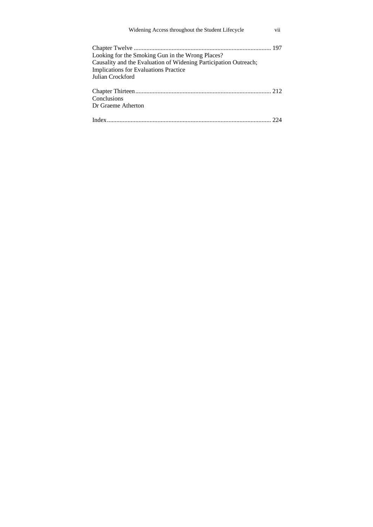| Widening Access throughout the Student Lifecycle                 | vii |
|------------------------------------------------------------------|-----|
|                                                                  |     |
| Looking for the Smoking Gun in the Wrong Places?                 |     |
| Causality and the Evaluation of Widening Participation Outreach; |     |
| Implications for Evaluations Practice                            |     |
| Julian Crockford                                                 |     |
|                                                                  |     |
| Conclusions                                                      |     |
| Dr Graeme Atherton                                               |     |
|                                                                  |     |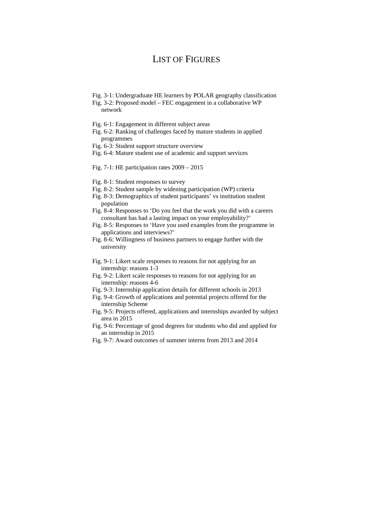### LIST OF FIGURES

- Fig. 3-1: Undergraduate HE learners by POLAR geography classification
- Fig. 3-2: Proposed model FEC engagement in a collaborative WP network
- Fig. 6-1: Engagement in different subject areas
- Fig. 6-2: Ranking of challenges faced by mature students in applied programmes
- Fig. 6-3: Student support structure overview
- Fig. 6-4: Mature student use of academic and support services
- Fig. 7-1: HE participation rates 2009 2015
- Fig. 8-1: Student responses to survey
- Fig. 8-2: Student sample by widening participation (WP) criteria
- Fig. 8-3: Demographics of student participants' vs institution student population
- Fig. 8-4: Responses to 'Do you feel that the work you did with a careers consultant has had a lasting impact on your employability?'
- Fig. 8-5: Responses to 'Have you used examples from the programme in applications and interviews?'
- Fig. 8-6: Willingness of business partners to engage further with the university
- Fig. 9-1: Likert scale responses to reasons for not applying for an internship: reasons 1-3
- Fig. 9-2: Likert scale responses to reasons for not applying for an internship: reasons 4-6
- Fig. 9-3: Internship application details for different schools in 2013
- Fig. 9-4: Growth of applications and potential projects offered for the internship Scheme
- Fig. 9-5: Projects offered, applications and internships awarded by subject area in 2015
- Fig. 9-6: Percentage of good degrees for students who did and applied for an internship in 2015
- Fig. 9-7: Award outcomes of summer interns from 2013 and 2014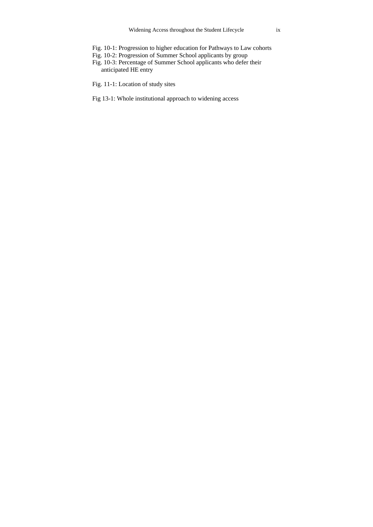- Fig. 10-1: Progression to higher education for Pathways to Law cohorts
- Fig. 10-2: Progression of Summer School applicants by group
- Fig. 10-3: Percentage of Summer School applicants who defer their anticipated HE entry
- Fig. 11-1: Location of study sites
- Fig 13-1: Whole institutional approach to widening access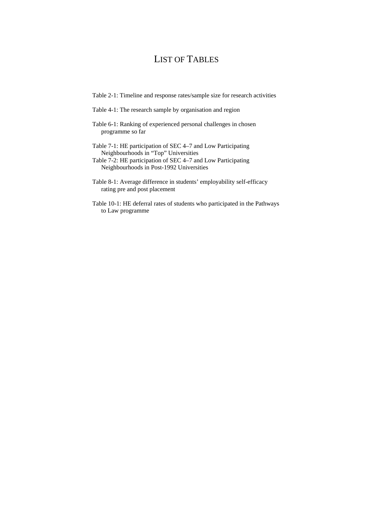### LIST OF TABLES

- Table 2-1: Timeline and response rates/sample size for research activities
- Table 4-1: The research sample by organisation and region
- Table 6-1: Ranking of experienced personal challenges in chosen programme so far
- Table 7-1: HE participation of SEC 4–7 and Low Participating Neighbourhoods in "Top" Universities
- Table 7-2: HE participation of SEC 4–7 and Low Participating Neighbourhoods in Post-1992 Universities
- Table 8-1: Average difference in students' employability self-efficacy rating pre and post placement
- Table 10-1: HE deferral rates of students who participated in the Pathways to Law programme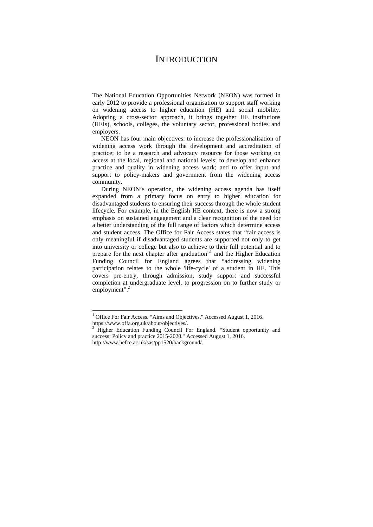### **INTRODUCTION**

The National Education Opportunities Network (NEON) was formed in early 2012 to provide a professional organisation to support staff working on widening access to higher education (HE) and social mobility. Adopting a cross-sector approach, it brings together HE institutions (HEIs), schools, colleges, the voluntary sector, professional bodies and employers.

NEON has four main objectives: to increase the professionalisation of widening access work through the development and accreditation of practice; to be a research and advocacy resource for those working on access at the local, regional and national levels; to develop and enhance practice and quality in widening access work; and to offer input and support to policy-makers and government from the widening access community.

During NEON's operation, the widening access agenda has itself expanded from a primary focus on entry to higher education for disadvantaged students to ensuring their success through the whole student lifecycle. For example, in the English HE context, there is now a strong emphasis on sustained engagement and a clear recognition of the need for a better understanding of the full range of factors which determine access and student access. The Office for Fair Access states that "fair access is only meaningful if disadvantaged students are supported not only to get into university or college but also to achieve to their full potential and to prepare for the next chapter after graduation"<sup>1</sup> and the Higher Education Funding Council for England agrees that "addressing widening participation relates to the whole 'life-cycle' of a student in HE. This covers pre-entry, through admission, study support and successful completion at undergraduate level, to progression on to further study or employment".<sup>2</sup>

 $\ddot{\phantom{a}}$ 

<sup>&</sup>lt;sup>1</sup> Office For Fair Access. "Aims and Objectives." Accessed August 1, 2016. https://www.offa.org.uk/about/objectives/. 2

 $^2$  Higher Education Funding Council For England. "Student opportunity and success: Policy and practice 2015-2020." Accessed August 1, 2016. http://www.hefce.ac.uk/sas/pp1520/background/.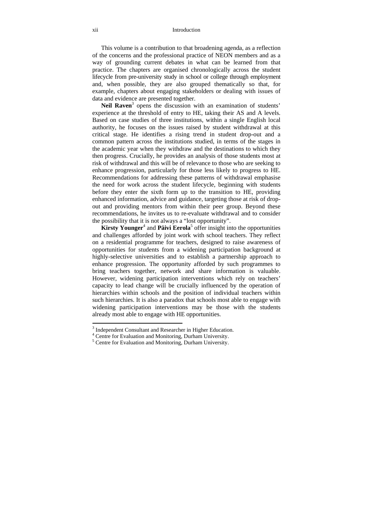#### xii Introduction

This volume is a contribution to that broadening agenda, as a reflection of the concerns and the professional practice of NEON members and as a way of grounding current debates in what can be learned from that practice. The chapters are organised chronologically across the student lifecycle from pre-university study in school or college through employment and, when possible, they are also grouped thematically so that, for example, chapters about engaging stakeholders or dealing with issues of data and evidence are presented together.

Neil Raven<sup>3</sup> opens the discussion with an examination of students' experience at the threshold of entry to HE, taking their AS and A levels. Based on case studies of three institutions, within a single English local authority, he focuses on the issues raised by student withdrawal at this critical stage. He identifies a rising trend in student drop-out and a common pattern across the institutions studied, in terms of the stages in the academic year when they withdraw and the destinations to which they then progress. Crucially, he provides an analysis of those students most at risk of withdrawal and this will be of relevance to those who are seeking to enhance progression, particularly for those less likely to progress to HE. Recommendations for addressing these patterns of withdrawal emphasise the need for work across the student lifecycle, beginning with students before they enter the sixth form up to the transition to HE, providing enhanced information, advice and guidance, targeting those at risk of dropout and providing mentors from within their peer group. Beyond these recommendations, he invites us to re-evaluate withdrawal and to consider the possibility that it is not always a "lost opportunity".

**Kirsty Younger<sup>4</sup>** and **Päivi Eerola<sup>5</sup> offer insight into the opportunities** and challenges afforded by joint work with school teachers. They reflect on a residential programme for teachers, designed to raise awareness of opportunities for students from a widening participation background at highly-selective universities and to establish a partnership approach to enhance progression. The opportunity afforded by such programmes to bring teachers together, network and share information is valuable. However, widening participation interventions which rely on teachers' capacity to lead change will be crucially influenced by the operation of hierarchies within schools and the position of individual teachers within such hierarchies. It is also a paradox that schools most able to engage with widening participation interventions may be those with the students already most able to engage with HE opportunities.

 $\ddot{\phantom{a}}$ 

<sup>&</sup>lt;sup>3</sup> Independent Consultant and Researcher in Higher Education.

<sup>4</sup> Centre for Evaluation and Monitoring, Durham University.

<sup>&</sup>lt;sup>5</sup> Centre for Evaluation and Monitoring, Durham University.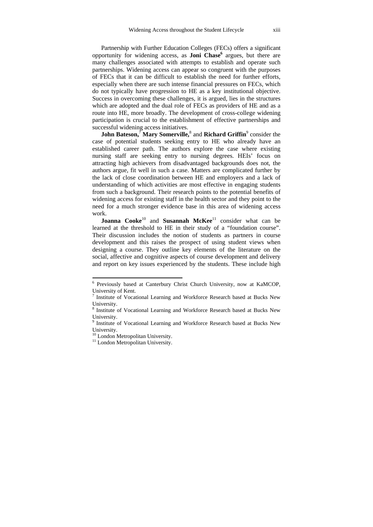Partnership with Further Education Colleges (FECs) offers a significant opportunity for widening access, as **Joni Chase**<sup>6</sup> argues, but there are many challenges associated with attempts to establish and operate such partnerships. Widening access can appear so congruent with the purposes of FECs that it can be difficult to establish the need for further efforts, especially when there are such intense financial pressures on FECs, which do not typically have progression to HE as a key institutional objective. Success in overcoming these challenges, it is argued, lies in the structures which are adopted and the dual role of FECs as providers of HE and as a route into HE, more broadly. The development of cross-college widening participation is crucial to the establishment of effective partnerships and successful widening access initiatives.

**John Bateson,<sup>7</sup> Mary Somerville,<sup>8</sup> and Richard Griffin<sup>9</sup> consider the** case of potential students seeking entry to HE who already have an established career path. The authors explore the case where existing nursing staff are seeking entry to nursing degrees. HEIs' focus on attracting high achievers from disadvantaged backgrounds does not, the authors argue, fit well in such a case. Matters are complicated further by the lack of close coordination between HE and employers and a lack of understanding of which activities are most effective in engaging students from such a background. Their research points to the potential benefits of widening access for existing staff in the health sector and they point to the need for a much stronger evidence base in this area of widening access work.

**Joanna Cooke**<sup>10</sup> and **Susannah McKee**<sup>11</sup> consider what can be learned at the threshold to HE in their study of a "foundation course". Their discussion includes the notion of students as partners in course development and this raises the prospect of using student views when designing a course. They outline key elements of the literature on the social, affective and cognitive aspects of course development and delivery and report on key issues experienced by the students. These include high

<sup>6</sup> Previously based at Canterbury Christ Church University, now at KaMCOP, University of Kent.

<sup>&</sup>lt;sup>7</sup> Institute of Vocational Learning and Workforce Research based at Bucks New University.

<sup>&</sup>lt;sup>8</sup> Institute of Vocational Learning and Workforce Research based at Bucks New University.

<sup>&</sup>lt;sup>9</sup> Institute of Vocational Learning and Workforce Research based at Bucks New University.

<sup>&</sup>lt;sup>10</sup> London Metropolitan University.

<sup>&</sup>lt;sup>11</sup> London Metropolitan University.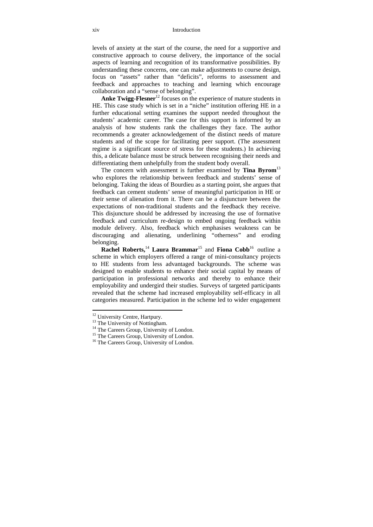#### xiv Introduction

levels of anxiety at the start of the course, the need for a supportive and constructive approach to course delivery, the importance of the social aspects of learning and recognition of its transformative possibilities. By understanding these concerns, one can make adjustments to course design, focus on "assets" rather than "deficits", reforms to assessment and feedback and approaches to teaching and learning which encourage collaboration and a "sense of belonging".

**Anke Twigg-Flesner**<sup>12</sup> focuses on the experience of mature students in HE. This case study which is set in a "niche" institution offering HE in a further educational setting examines the support needed throughout the students' academic career. The case for this support is informed by an analysis of how students rank the challenges they face. The author recommends a greater acknowledgement of the distinct needs of mature students and of the scope for facilitating peer support. (The assessment regime is a significant source of stress for these students.) In achieving this, a delicate balance must be struck between recognising their needs and differentiating them unhelpfully from the student body overall.

The concern with assessment is further examined by **Tina Byrom**<sup>13</sup> who explores the relationship between feedback and students' sense of belonging. Taking the ideas of Bourdieu as a starting point, she argues that feedback can cement students' sense of meaningful participation in HE or their sense of alienation from it. There can be a disjuncture between the expectations of non-traditional students and the feedback they receive. This disjuncture should be addressed by increasing the use of formative feedback and curriculum re-design to embed ongoing feedback within module delivery. Also, feedback which emphasises weakness can be discouraging and alienating, underlining "otherness" and eroding belonging.

**Rachel Roberts,**<sup>14</sup> **Laura Brammar**<sup>15</sup> and **Fiona Cobb**<sup>16</sup> outline a scheme in which employers offered a range of mini-consultancy projects to HE students from less advantaged backgrounds. The scheme was designed to enable students to enhance their social capital by means of participation in professional networks and thereby to enhance their employability and undergird their studies. Surveys of targeted participants revealed that the scheme had increased employability self-efficacy in all categories measured. Participation in the scheme led to wider engagement

 $\ddot{\phantom{a}}$ 

<sup>&</sup>lt;sup>12</sup> University Centre, Hartpury.

<sup>&</sup>lt;sup>13</sup> The University of Nottingham.

<sup>&</sup>lt;sup>14</sup> The Careers Group, University of London.

<sup>&</sup>lt;sup>15</sup> The Careers Group, University of London.

<sup>&</sup>lt;sup>16</sup> The Careers Group, University of London.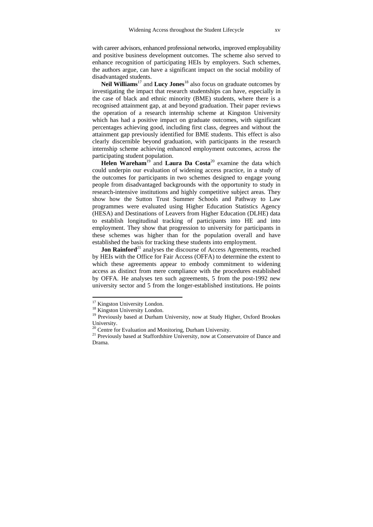with career advisors, enhanced professional networks, improved employability and positive business development outcomes. The scheme also served to enhance recognition of participating HEIs by employers. Such schemes, the authors argue, can have a significant impact on the social mobility of disadvantaged students.

Neil Williams<sup>17</sup> and **Lucy Jones**<sup>18</sup> also focus on graduate outcomes by investigating the impact that research studentships can have, especially in the case of black and ethnic minority (BME) students, where there is a recognised attainment gap, at and beyond graduation. Their paper reviews the operation of a research internship scheme at Kingston University which has had a positive impact on graduate outcomes, with significant percentages achieving good, including first class, degrees and without the attainment gap previously identified for BME students. This effect is also clearly discernible beyond graduation, with participants in the research internship scheme achieving enhanced employment outcomes, across the participating student population.

**Helen Wareham**<sup>19</sup> and **Laura Da Costa**<sup>20</sup> examine the data which could underpin our evaluation of widening access practice, in a study of the outcomes for participants in two schemes designed to engage young people from disadvantaged backgrounds with the opportunity to study in research-intensive institutions and highly competitive subject areas. They show how the Sutton Trust Summer Schools and Pathway to Law programmes were evaluated using Higher Education Statistics Agency (HESA) and Destinations of Leavers from Higher Education (DLHE) data to establish longitudinal tracking of participants into HE and into employment. They show that progression to university for participants in these schemes was higher than for the population overall and have established the basis for tracking these students into employment.

**Jon Rainford**<sup>21</sup> analyses the discourse of Access Agreements, reached by HEIs with the Office for Fair Access (OFFA) to determine the extent to which these agreements appear to embody commitment to widening access as distinct from mere compliance with the procedures established by OFFA. He analyses ten such agreements, 5 from the post-1992 new university sector and 5 from the longer-established institutions. He points

 $\overline{a}$ 

<sup>&</sup>lt;sup>17</sup> Kingston University London.

<sup>&</sup>lt;sup>18</sup> Kingston University London.

<sup>&</sup>lt;sup>19</sup> Previously based at Durham University, now at Study Higher, Oxford Brookes University.

<sup>&</sup>lt;sup>20</sup> Centre for Evaluation and Monitoring, Durham University.

<sup>&</sup>lt;sup>21</sup> Previously based at Staffordshire University, now at Conservatoire of Dance and Drama.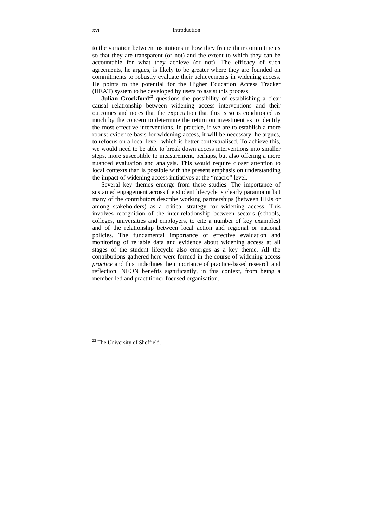#### xvi Introduction

to the variation between institutions in how they frame their commitments so that they are transparent (or not) and the extent to which they can be accountable for what they achieve (or not). The efficacy of such agreements, he argues, is likely to be greater where they are founded on commitments to robustly evaluate their achievements in widening access. He points to the potential for the Higher Education Access Tracker (HEAT) system to be developed by users to assist this process.

**Julian Crockford**<sup>22</sup> questions the possibility of establishing a clear causal relationship between widening access interventions and their outcomes and notes that the expectation that this is so is conditioned as much by the concern to determine the return on investment as to identify the most effective interventions. In practice, if we are to establish a more robust evidence basis for widening access, it will be necessary, he argues, to refocus on a local level, which is better contextualised. To achieve this, we would need to be able to break down access interventions into smaller steps, more susceptible to measurement, perhaps, but also offering a more nuanced evaluation and analysis. This would require closer attention to local contexts than is possible with the present emphasis on understanding the impact of widening access initiatives at the "macro" level.

Several key themes emerge from these studies. The importance of sustained engagement across the student lifecycle is clearly paramount but many of the contributors describe working partnerships (between HEIs or among stakeholders) as a critical strategy for widening access. This involves recognition of the inter-relationship between sectors (schools, colleges, universities and employers, to cite a number of key examples) and of the relationship between local action and regional or national policies. The fundamental importance of effective evaluation and monitoring of reliable data and evidence about widening access at all stages of the student lifecycle also emerges as a key theme. All the contributions gathered here were formed in the course of widening access *practice* and this underlines the importance of practice-based research and reflection. NEON benefits significantly, in this context, from being a member-led and practitioner-focused organisation.

<sup>&</sup>lt;sup>22</sup> The University of Sheffield.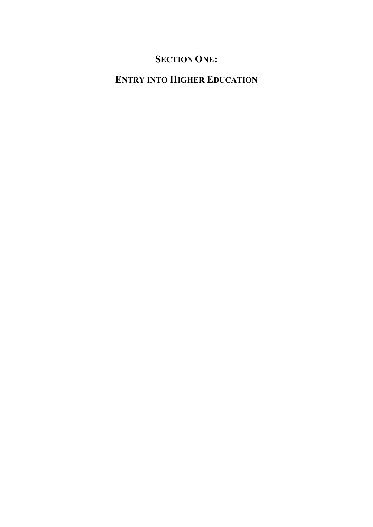## **SECTION ONE:**

# **ENTRY INTO HIGHER EDUCATION**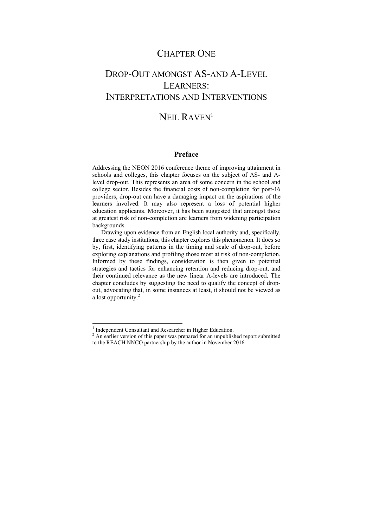### CHAPTER ONE

## DROP-OUT AMONGST AS-AND A-LEVEL LEARNERS: INTERPRETATIONS AND INTERVENTIONS

### NEIL RAVEN<sup>1</sup>

### **Preface**

Addressing the NEON 2016 conference theme of improving attainment in schools and colleges, this chapter focuses on the subject of AS- and Alevel drop-out. This represents an area of some concern in the school and college sector. Besides the financial costs of non-completion for post-16 providers, drop-out can have a damaging impact on the aspirations of the learners involved. It may also represent a loss of potential higher education applicants. Moreover, it has been suggested that amongst those at greatest risk of non-completion are learners from widening participation backgrounds.

Drawing upon evidence from an English local authority and, specifically, three case study institutions, this chapter explores this phenomenon. It does so by, first, identifying patterns in the timing and scale of drop-out, before exploring explanations and profiling those most at risk of non-completion. Informed by these findings, consideration is then given to potential strategies and tactics for enhancing retention and reducing drop-out, and their continued relevance as the new linear A-levels are introduced. The chapter concludes by suggesting the need to qualify the concept of dropout, advocating that, in some instances at least, it should not be viewed as a lost opportunity.<sup>2</sup>

 $\ddot{\phantom{a}}$ 

<sup>&</sup>lt;sup>1</sup> Independent Consultant and Researcher in Higher Education.

 $2^2$  An earlier version of this paper was prepared for an unpublished report submitted to the REACH NNCO partnership by the author in November 2016.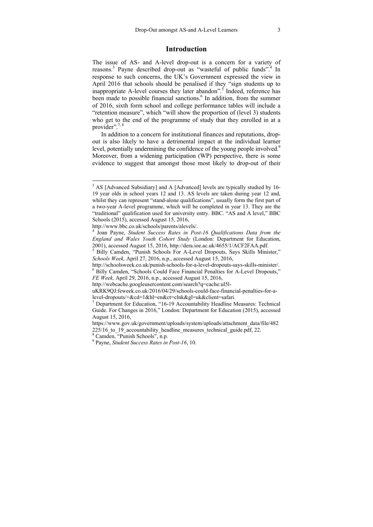### **Introduction**

The issue of AS- and A-level drop-out is a concern for a variety of reasons.<sup>3</sup> Payne described drop-out as "wasteful of public funds".<sup>4</sup> In response to such concerns, the UK's Government expressed the view in April 2016 that schools should be penalised if they "sign students up to inappropriate A-level courses they later abandon".<sup>5</sup> Indeed, reference has been made to possible financial sanctions.<sup>6</sup> In addition, from the summer of 2016, sixth form school and college performance tables will include a "retention measure", which "will show the proportion of (level 3) students who get to the end of the programme of study that they enrolled in at a provider". $7, 8$ 

In addition to a concern for institutional finances and reputations, dropout is also likely to have a detrimental impact at the individual learner level, potentially undermining the confidence of the young people involved.<sup>9</sup> Moreover, from a widening participation (WP) perspective, there is some evidence to suggest that amongst those most likely to drop-out of their

<sup>&</sup>lt;sup>3</sup> AS [Advanced Subsidiary] and A [Advanced] levels are typically studied by 16-19 year olds in school years 12 and 13. AS levels are taken during year 12 and, whilst they can represent "stand-alone qualifications", usually form the first part of a two-year A-level programme, which will be completed in year 13. They are the "traditional" qualification used for university entry. BBC. "AS and A level," BBC Schools (2015), accessed August 15, 2016,

http://www.bbc.co.uk/schools/parents/alevels/. 4

<sup>&</sup>lt;sup>4</sup> Joan Payne, *Student Success Rates in Post-16 Qualifications Data from the England and Wales Youth Cohort Study* (London: Department for Education,

<sup>2001),</sup> accessed August 15, 2016, http://dera.ioe.ac.uk/4655/1/ACF2FAA.pdf.<br><sup>5</sup> Billy Camden, "Punish Schools For A-Level Dropouts, Says Skills Minister," *Schools Week,* April 27, 2016, n.p., accessed August 15, 2016,

http://schoolsweek.co.uk/punish-schools-for-a-level-dropouts-says-skills-minister/. 6 <sup>6</sup> Billy Camden, "Schools Could Face Financial Penalties for A-Level Dropouts,"

*FE Week,* April 29, 2016, n.p., accessed August 15, 2016,

http://webcache.googleusercontent.com/search?q=cache:ul5l-

uKRK9QJ:feweek.co.uk/2016/04/29/schools-could-face-financial-penalties-for-alevel-dropouts/+&cd=1&hl=en&ct=clnk&gl=uk&client=safari. 7

 $<sup>7</sup>$  Department for Education, "16-19 Accountability Headline Measures: Technical</sup> Guide. For Changes in 2016," London: Department for Education (2015), accessed August 15, 2016,

https://www.gov.uk/government/uploads/system/uploads/attachment\_data/file/482 225/16 to 19 accountability headline measures technical guide.pdf, 22.

Camden, "Punish Schools", n.p.

<sup>9</sup> Payne, *Student Success Rates in Post-16*, 10.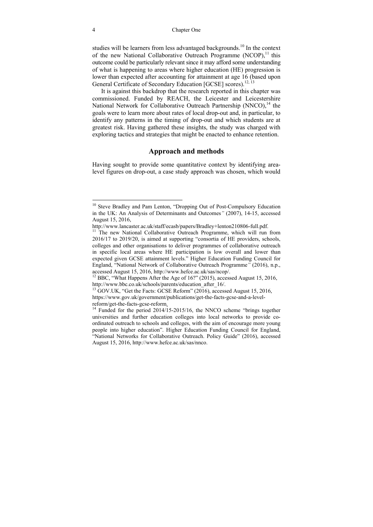studies will be learners from less advantaged backgrounds.<sup>10</sup> In the context of the new National Collaborative Outreach Programme  $(NCOP)$ ,<sup>11</sup> this outcome could be particularly relevant since it may afford some understanding of what is happening to areas where higher education (HE) progression is lower than expected after accounting for attainment at age 16 (based upon General Certificate of Secondary Education [GCSE] scores).<sup>12, 13</sup>

It is against this backdrop that the research reported in this chapter was commissioned. Funded by REACH, the Leicester and Leicestershire National Network for Collaborative Outreach Partnership (NNCO).<sup>14</sup> the goals were to learn more about rates of local drop-out and, in particular, to identify any patterns in the timing of drop-out and which students are at greatest risk. Having gathered these insights, the study was charged with exploring tactics and strategies that might be enacted to enhance retention.

### **Approach and methods**

Having sought to provide some quantitative context by identifying arealevel figures on drop-out, a case study approach was chosen, which would

 $10\,$ 10 Steve Bradley and Pam Lenton, "Dropping Out of Post-Compulsory Education in the UK: An Analysis of Determinants and Outcomes*"* (2007), 14-15, accessed August 15, 2016,<br>http://www.lancaster.ac.uk/staff/ecasb/papers/Bradley+lenton210806-full.pdf.

<sup>&</sup>lt;sup>11</sup> The new National Collaborative Outreach Programme, which will run from 2016/17 to 2019/20, is aimed at supporting "consortia of HE providers, schools, colleges and other organisations to deliver programmes of collaborative outreach in specific local areas where HE participation is low overall and lower than expected given GCSE attainment levels." Higher Education Funding Council for England, "National Network of Collaborative Outreach Programme*"* (2016), n.p.,

accessed August 15, 2016, http://www.hefce.ac.uk/sas/ncop/.<br><sup>12</sup> BBC, "What Happens After the Age of 16?" (2015), accessed August 15, 2016, http://www.bbc.co.uk/schools/parents/education after 16/.

 $^{13}$  GOV.UK, "Get the Facts: GCSE Reform" (2016), accessed August 15, 2016, https://www.gov.uk/government/publications/get-the-facts-gcse-and-a-levelreform/get-the-facts-gcse-reform.

 $14$  Funded for the period 2014/15-2015/16, the NNCO scheme "brings together universities and further education colleges into local networks to provide coordinated outreach to schools and colleges, with the aim of encourage more young people into higher education". Higher Education Funding Council for England, "National Networks for Collaborative Outreach. Policy Guide" (2016), accessed August 15, 2016, http://www.hefce.ac.uk/sas/nnco.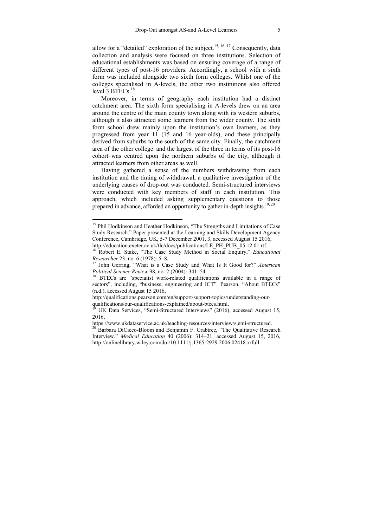allow for a "detailed" exploration of the subject.<sup>15, 16, 17</sup> Consequently, data collection and analysis were focused on three institutions. Selection of educational establishments was based on ensuring coverage of a range of different types of post-16 providers. Accordingly, a school with a sixth form was included alongside two sixth form colleges. Whilst one of the colleges specialised in A-levels, the other two institutions also offered level 3 BTECs. $18$ 

Moreover, in terms of geography each institution had a distinct catchment area. The sixth form specialising in A-levels drew on an area around the centre of the main county town along with its western suburbs, although it also attracted some learners from the wider county. The sixth form school drew mainly upon the institution's own learners, as they progressed from year 11 (15 and 16 year-olds), and these principally derived from suburbs to the south of the same city. Finally, the catchment area of the other college–and the largest of the three in terms of its post-16 cohort–was centred upon the northern suburbs of the city, although it attracted learners from other areas as well.

Having gathered a sense of the numbers withdrawing from each institution and the timing of withdrawal, a qualitative investigation of the underlying causes of drop-out was conducted. Semi-structured interviews were conducted with key members of staff in each institution. This approach, which included asking supplementary questions to those prepared in advance, afforded an opportunity to gather in-depth insights.<sup>19, 20</sup>

<sup>&</sup>lt;sup>15</sup> Phil Hodkinson and Heather Hodkinson, "The Strengths and Limitations of Case Study Research." Paper presented at the Learning and Skills Development Agency Conference, Cambridge, UK, 5-7 December 2001, 3, accessed August 15 2016,

http://education.exeter.ac.uk/tlc/docs/publications/LE\_PH\_PUB\_05.12.01.rtf.<br><sup>16</sup> Robert E. Stake, "The Case Study Method in Social Enquiry," *Educational Researcher* 23, no. 6 (1978): 5–8.

<sup>&</sup>lt;sup>17</sup> John Gerring, "What is a Case Study and What Is It Good for?" *American Political Science Review* 98, no. 2 (2004): 341–54.<br><sup>18</sup> BTECs are "specialist work-related qualifications available in a range of

sectors", including, "business, engineering and ICT". Pearson, "About BTECs" (n.d.), accessed August 15 2016,

http://qualifications.pearson.com/en/support/support-topics/understanding-our-<br>qualifications/our-qualifications-explained/about-btecs.html.<br><sup>19</sup> HK Data Services. "Services Henry and Little W. 2016.

UK Data Services, "Semi-Structured Interviews" (2016), accessed August 15, 2016,

https://www.ukdataservice.ac.uk/teaching-resources/interview/s,emi-structured.<br><sup>20</sup> Barbara DiCicco-Bloom and Benjamin F. Crabtree, "The Qualitative Research

Interview." *Medical Education* 40 (2006): 314–21, accessed August 15, 2016, http://onlinelibrary.wiley.com/doi/10.1111/j.1365-2929.2006.02418.x/full.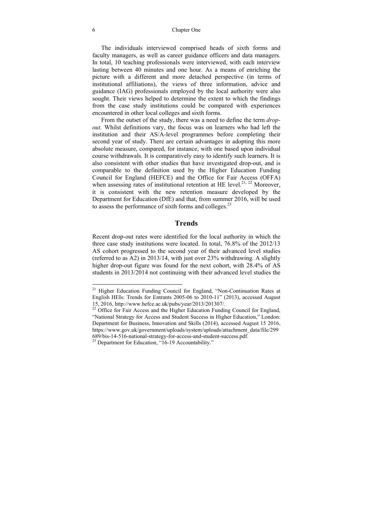The individuals interviewed comprised heads of sixth forms and faculty managers, as well as career guidance officers and data managers. In total, 10 teaching professionals were interviewed, with each interview lasting between 40 minutes and one hour. As a means of enriching the picture with a different and more detached perspective (in terms of institutional affiliations), the views of three information, advice and guidance (IAG) professionals employed by the local authority were also sought. Their views helped to determine the extent to which the findings from the case study institutions could be compared with experiences encountered in other local colleges and sixth forms.

From the outset of the study, there was a need to define the term *dropout*. Whilst definitions vary, the focus was on learners who had left the institution and their AS/A-level programmes before completing their second year of study. There are certain advantages in adopting this more absolute measure, compared, for instance, with one based upon individual course withdrawals. It is comparatively easy to identify such learners. It is also consistent with other studies that have investigated drop-out, and is comparable to the definition used by the Higher Education Funding Council for England (HEFCE) and the Office for Fair Access (OFFA) when assessing rates of institutional retention at HE level.<sup>21, 22</sup> Moreover, it is consistent with the new retention measure developed by the Department for Education (DfE) and that, from summer 2016, will be used to assess the performance of sixth forms and colleges. $^{23}$ 

### **Trends**

Recent drop-out rates were identified for the local authority in which the three case study institutions were located. In total, 76.8% of the 2012/13 AS cohort progressed to the second year of their advanced level studies (referred to as A2) in 2013/14, with just over 23% withdrawing. A slightly higher drop-out figure was found for the next cohort, with 28.4% of AS students in 2013/2014 not continuing with their advanced level studies the

 $\overline{a}$ 

<sup>&</sup>lt;sup>21</sup> Higher Education Funding Council for England, "Non-Continuation Rates at English HEIs: Trends for Entrants 2005-06 to 2010-11" (2013), accessed August 15, 2016, http://www.hefce.ac.uk/pubs/year/2013/201307/.

<sup>&</sup>lt;sup>22</sup> Office for Fair Access and the Higher Education Funding Council for England, "National Strategy for Access and Student Success in Higher Education," London: Department for Business, Innovation and Skills (2014), accessed August 15 2016, https://www.gov.uk/government/uploads/system/uploads/attachment\_data/file/299 689/bis-14-516-national-strategy-for-access-and-student-success.pdf. 23 Department for Education, "16-19 Accountability."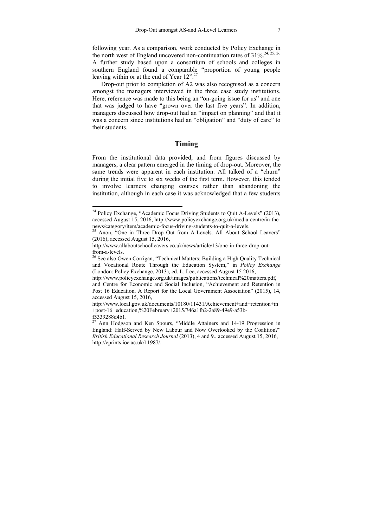following year. As a comparison, work conducted by Policy Exchange in the north west of England uncovered non-continuation rates of  $31\%^{24,25,26}$ A further study based upon a consortium of schools and colleges in southern England found a comparable "proportion of young people leaving within or at the end of Year 12".<sup>27</sup>

Drop-out prior to completion of A2 was also recognised as a concern amongst the managers interviewed in the three case study institutions. Here, reference was made to this being an "on-going issue for us" and one that was judged to have "grown over the last five years". In addition, managers discussed how drop-out had an "impact on planning" and that it was a concern since institutions had an "obligation" and "duty of care" to their students.

### **Timing**

From the institutional data provided, and from figures discussed by managers, a clear pattern emerged in the timing of drop-out. Moreover, the same trends were apparent in each institution. All talked of a "churn" during the initial five to six weeks of the first term. However, this tended to involve learners changing courses rather than abandoning the institution, although in each case it was acknowledged that a few students

 $\overline{a}$ 

<sup>&</sup>lt;sup>24</sup> Policy Exchange, "Academic Focus Driving Students to Quit A-Levels" (2013), accessed August 15, 2016, http://www.policyexchange.org.uk/media-centre/in-thenews/category/item/academic-focus-driving-students-to-quit-a-levels.

<sup>&</sup>lt;sup>25</sup> Anon, "One in Three Drop Out from A-Levels. All About School Leavers" (2016), accessed August 15, 2016,

http://www.allaboutschoolleavers.co.uk/news/article/13/one-in-three-drop-outfrom-a-levels.

<sup>26</sup> See also Owen Corrigan, "Technical Matters: Building a High Quality Technical and Vocational Route Through the Education System," in *Policy Exchange* (London: Policy Exchange, 2013), ed. L. Lee, accessed August 15 2016,

http://www.policyexchange.org.uk/images/publications/technical%20matters.pdf, and Centre for Economic and Social Inclusion, "Achievement and Retention in Post 16 Education. A Report for the Local Government Association" (2015), 14, accessed August 15, 2016,

http://www.local.gov.uk/documents/10180/11431/Achievement+and+retention+in +post-16+education,%20February+2015/746a1fb2-2a89-49e9-a53bf5339288d4b1.

<sup>&</sup>lt;sup>27</sup> Ann Hodgson and Ken Spours, "Middle Attainers and 14-19 Progression in England: Half-Served by New Labour and Now Overlooked by the Coalition?" *British Educational Research Journal* (2013), 4 and 9., accessed August 15, 2016, http://eprints.ioe.ac.uk/11987/.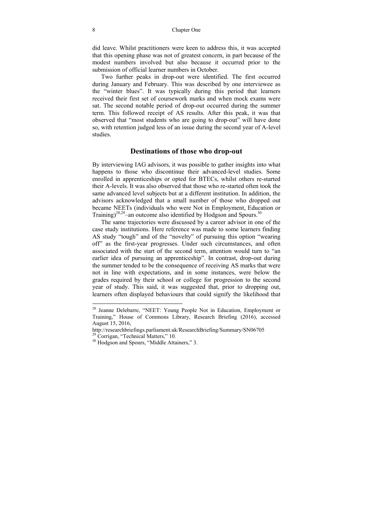did leave. Whilst practitioners were keen to address this, it was accepted that this opening phase was not of greatest concern, in part because of the modest numbers involved but also because it occurred prior to the submission of official learner numbers in October.

Two further peaks in drop-out were identified. The first occurred during January and February. This was described by one interviewee as the "winter blues". It was typically during this period that learners received their first set of coursework marks and when mock exams were sat. The second notable period of drop-out occurred during the summer term. This followed receipt of AS results. After this peak, it was that observed that "most students who are going to drop-out" will have done so, with retention judged less of an issue during the second year of A-level studies.

### **Destinations of those who drop-out**

By interviewing IAG advisors, it was possible to gather insights into what happens to those who discontinue their advanced-level studies. Some enrolled in apprenticeships or opted for BTECs, whilst others re-started their A-levels. It was also observed that those who re-started often took the same advanced level subjects but at a different institution. In addition, the advisors acknowledged that a small number of those who dropped out became NEETs (individuals who were Not in Employment, Education or Training)<sup>28,29</sup>–an outcome also identified by Hodgson and Spours.<sup>30</sup>

The same trajectories were discussed by a career advisor in one of the case study institutions. Here reference was made to some learners finding AS study "tough" and of the "novelty" of pursuing this option "wearing off" as the first-year progresses. Under such circumstances, and often associated with the start of the second term, attention would turn to "an earlier idea of pursuing an apprenticeship". In contrast, drop-out during the summer tended to be the consequence of receiving AS marks that were not in line with expectations, and in some instances, were below the grades required by their school or college for progression to the second year of study. This said, it was suggested that, prior to dropping out, learners often displayed behaviours that could signify the likelihood that

 $28\,$ Jeanne Delebarre, "NEET: Young People Not in Education, Employment or Training," House of Commons Library, Research Briefing (2016), accessed August 15, 2016,

http://researchbriefings.parliament.uk/ResearchBriefing/Summary/SN06705<br><sup>29</sup> Corrigan, "Technical Matters," 10.

<sup>&</sup>lt;sup>30</sup> Hodgson and Spours, "Middle Attainers," 3.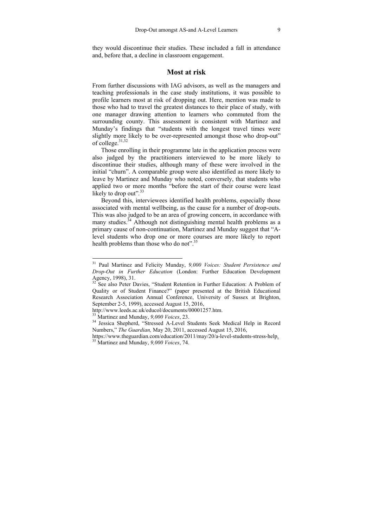they would discontinue their studies. These included a fall in attendance and, before that, a decline in classroom engagement.

#### **Most at risk**

From further discussions with IAG advisors, as well as the managers and teaching professionals in the case study institutions, it was possible to profile learners most at risk of dropping out. Here, mention was made to those who had to travel the greatest distances to their place of study, with one manager drawing attention to learners who commuted from the surrounding county. This assessment is consistent with Martinez and Munday's findings that "students with the longest travel times were slightly more likely to be over-represented amongst those who drop-out" of college. $31,32$ 

Those enrolling in their programme late in the application process were also judged by the practitioners interviewed to be more likely to discontinue their studies, although many of these were involved in the initial "churn". A comparable group were also identified as more likely to leave by Martinez and Munday who noted, conversely, that students who applied two or more months "before the start of their course were least likely to drop out".<sup>33</sup>

Beyond this, interviewees identified health problems, especially those associated with mental wellbeing, as the cause for a number of drop-outs. This was also judged to be an area of growing concern, in accordance with many studies. $34$  Although not distinguishing mental health problems as a primary cause of non-continuation, Martinez and Munday suggest that "Alevel students who drop one or more courses are more likely to report health problems than those who do not".<sup>35</sup>

<sup>31</sup> Paul Martinez and Felicity Munday, *9,000 Voices: Student Persistence and Drop-Out in Further Education* (London: Further Education Development Agency, 1998), 31.

<sup>&</sup>lt;sup>32</sup> See also Peter Davies, "Student Retention in Further Education: A Problem of Quality or of Student Finance?" (paper presented at the British Educational Research Association Annual Conference, University of Sussex at Brighton, September 2-5, 1999), accessed August 15, 2016,

http://www.leeds.ac.uk/educol/documents/00001257.htm.<br><sup>33</sup> Martinez and Munday, *9,000 Voices*, 23.<br><sup>34</sup> Jessica Shepherd, "Stressed A-Level Students Seek Medical Help in Record Numbers," *The Guardian,* May 20, 2011, accessed August 15, 2016,

https://www.theguardian.com/education/2011/may/20/a-level-students-stress-help. 35 Martinez and Munday, *9,000 Voices*, 74.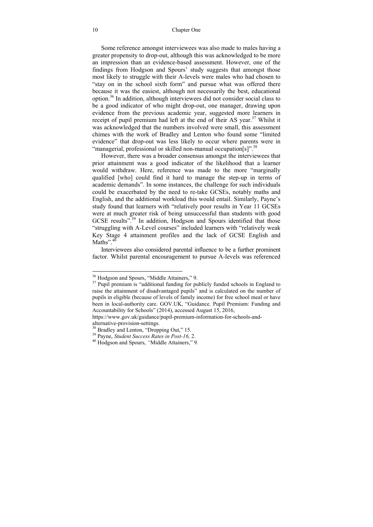Some reference amongst interviewees was also made to males having a greater propensity to drop-out, although this was acknowledged to be more an impression than an evidence-based assessment. However, one of the findings from Hodgson and Spours' study suggests that amongst those most likely to struggle with their A-levels were males who had chosen to "stay on in the school sixth form" and pursue what was offered there because it was the easiest, although not necessarily the best, educational option.36 In addition, although interviewees did not consider social class to be a good indicator of who might drop-out, one manager, drawing upon evidence from the previous academic year, suggested more learners in receipt of pupil premium had left at the end of their AS year.<sup>37</sup> Whilst it was acknowledged that the numbers involved were small, this assessment chimes with the work of Bradley and Lenton who found some "limited evidence" that drop-out was less likely to occur where parents were in "managerial, professional or skilled non-manual occupation[s]".<sup>38</sup>

However, there was a broader consensus amongst the interviewees that prior attainment was a good indicator of the likelihood that a learner would withdraw. Here, reference was made to the more "marginally qualified [who] could find it hard to manage the step-up in terms of academic demands". In some instances, the challenge for such individuals could be exacerbated by the need to re-take GCSEs, notably maths and English, and the additional workload this would entail. Similarly, Payne's study found that learners with "relatively poor results in Year 11 GCSEs were at much greater risk of being unsuccessful than students with good GCSE results".<sup>39</sup> In addition, Hodgson and Spours identified that those "struggling with A-Level courses" included learners with "relatively weak Key Stage 4 attainment profiles and the lack of GCSE English and Maths".  $40$ 

Interviewees also considered parental influence to be a further prominent factor. Whilst parental encouragement to pursue A-levels was referenced

<sup>&</sup>lt;sup>36</sup> Hodgson and Spours, "Middle Attainers," 9.

 $37$  Pupil premium is "additional funding for publicly funded schools in England to raise the attainment of disadvantaged pupils" and is calculated on the number of pupils in eligible (because of levels of family income) for free school meal or have been in local-authority care. GOV.UK, "Guidance. Pupil Premium: Funding and Accountability for Schools" (2014), accessed August 15, 2016,

https://www.gov.uk/guidance/pupil-premium-information-for-schools-andalternative-provision-settings.

 $38$  Bradley and Lenton, "Dropping Out," 15.<br> $39$  Payne. *Student Success Rates in Post-16*. 2.

<sup>&</sup>lt;sup>40</sup> Hodgson and Spours, "Middle Attainers," 9.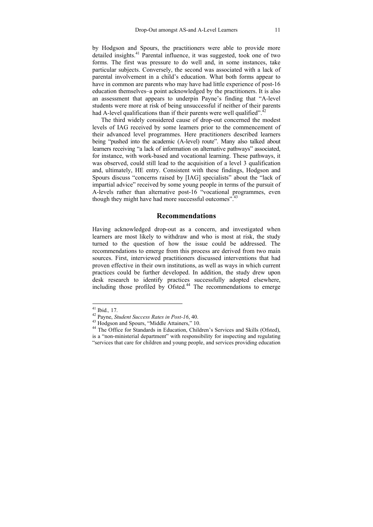by Hodgson and Spours, the practitioners were able to provide more detailed insights.<sup>41</sup> Parental influence, it was suggested, took one of two forms. The first was pressure to do well and, in some instances, take particular subjects. Conversely, the second was associated with a lack of parental involvement in a child's education. What both forms appear to have in common are parents who may have had little experience of post-16 education themselves–a point acknowledged by the practitioners. It is also an assessment that appears to underpin Payne's finding that "A-level students were more at risk of being unsuccessful if neither of their parents had A-level qualifications than if their parents were well qualified".<sup>42</sup>

The third widely considered cause of drop-out concerned the modest levels of IAG received by some learners prior to the commencement of their advanced level programmes. Here practitioners described learners being "pushed into the academic (A-level) route". Many also talked about learners receiving "a lack of information on alternative pathways" associated, for instance, with work-based and vocational learning. These pathways, it was observed, could still lead to the acquisition of a level 3 qualification and, ultimately, HE entry. Consistent with these findings, Hodgson and Spours discuss "concerns raised by [IAG] specialists" about the "lack of impartial advice" received by some young people in terms of the pursuit of A-levels rather than alternative post-16 "vocational programmes, even though they might have had more successful outcomes".<sup>43</sup>

### **Recommendations**

Having acknowledged drop-out as a concern, and investigated when learners are most likely to withdraw and who is most at risk, the study turned to the question of how the issue could be addressed. The recommendations to emerge from this process are derived from two main sources. First, interviewed practitioners discussed interventions that had proven effective in their own institutions, as well as ways in which current practices could be further developed. In addition, the study drew upon desk research to identify practices successfully adopted elsewhere, including those profiled by Ofsted.<sup>44</sup> The recommendations to emerge

 $41$  Ibid., 17.

<sup>&</sup>lt;sup>42</sup> Payne, *Student Success Rates in Post-16*, 40.<br><sup>43</sup> Hodgson and Spours, "Middle Attainers," 10.

<sup>44</sup> The Office for Standards in Education, Children's Services and Skills (Ofsted), is a "non-ministerial department" with responsibility for inspecting and regulating "services that care for children and young people, and services providing education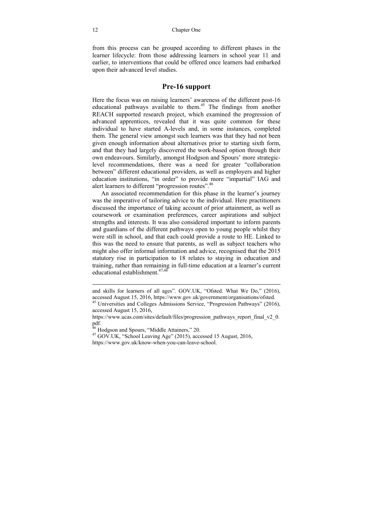from this process can be grouped according to different phases in the learner lifecycle: from those addressing learners in school year 11 and earlier, to interventions that could be offered once learners had embarked upon their advanced level studies.

### **Pre-16 support**

Here the focus was on raising learners' awareness of the different post-16 educational pathways available to them.<sup>45</sup> The findings from another REACH supported research project, which examined the progression of advanced apprentices, revealed that it was quite common for these individual to have started A-levels and, in some instances, completed them. The general view amongst such learners was that they had not been given enough information about alternatives prior to starting sixth form, and that they had largely discovered the work-based option through their own endeavours. Similarly, amongst Hodgson and Spours' more strategiclevel recommendations, there was a need for greater "collaboration between" different educational providers, as well as employers and higher education institutions, "in order" to provide more "impartial" IAG and alert learners to different "progression routes".<sup>46</sup>

An associated recommendation for this phase in the learner's journey was the imperative of tailoring advice to the individual. Here practitioners discussed the importance of taking account of prior attainment, as well as coursework or examination preferences, career aspirations and subject strengths and interests. It was also considered important to inform parents and guardians of the different pathways open to young people whilst they were still in school, and that each could provide a route to HE. Linked to this was the need to ensure that parents, as well as subject teachers who might also offer informal information and advice, recognised that the 2015 statutory rise in participation to 18 relates to staying in education and training, rather than remaining in full-time education at a learner's current educational establishment.  $47,48$ 

 $\overline{a}$ 

and skills for learners of all ages". GOV.UK, "Ofsted. What We Do," (2016), accessed August 15, 2016, https://www.gov.uk/government/organisations/ofsted. 45 Universities and Colleges Admissions Service, "Progression Pathways" (2016),

accessed August 15, 2016,

https://www.ucas.com/sites/default/files/progression\_pathways\_report\_final\_v2\_0. pdf.

<sup>&</sup>lt;sup>46</sup> Hodgson and Spours, "Middle Attainers," 20.

<sup>47</sup> GOV.UK, "School Leaving Age" (2015), accessed 15 August, 2016, https://www.gov.uk/know-when-you-can-leave-school.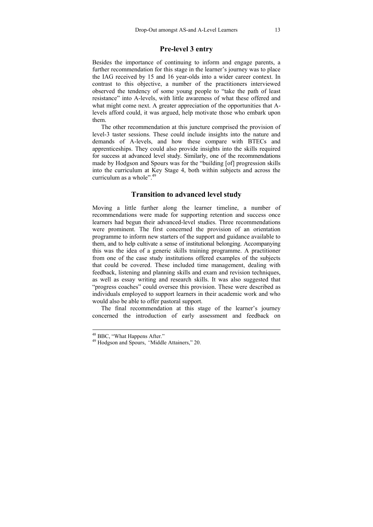### **Pre-level 3 entry**

Besides the importance of continuing to inform and engage parents, a further recommendation for this stage in the learner's journey was to place the IAG received by 15 and 16 year-olds into a wider career context. In contrast to this objective, a number of the practitioners interviewed observed the tendency of some young people to "take the path of least resistance" into A-levels, with little awareness of what these offered and what might come next. A greater appreciation of the opportunities that Alevels afford could, it was argued, help motivate those who embark upon them.

The other recommendation at this juncture comprised the provision of level-3 taster sessions. These could include insights into the nature and demands of A-levels, and how these compare with BTECs and apprenticeships. They could also provide insights into the skills required for success at advanced level study. Similarly, one of the recommendations made by Hodgson and Spours was for the "building [of] progression skills into the curriculum at Key Stage 4, both within subjects and across the curriculum as a whole". $49$ 

### **Transition to advanced level study**

Moving a little further along the learner timeline, a number of recommendations were made for supporting retention and success once learners had begun their advanced-level studies. Three recommendations were prominent. The first concerned the provision of an orientation programme to inform new starters of the support and guidance available to them, and to help cultivate a sense of institutional belonging. Accompanying this was the idea of a generic skills training programme. A practitioner from one of the case study institutions offered examples of the subjects that could be covered. These included time management, dealing with feedback, listening and planning skills and exam and revision techniques, as well as essay writing and research skills. It was also suggested that "progress coaches" could oversee this provision. These were described as individuals employed to support learners in their academic work and who would also be able to offer pastoral support.

The final recommendation at this stage of the learner's journey concerned the introduction of early assessment and feedback on

 $\overline{a}$ 

<sup>&</sup>lt;sup>48</sup> BBC, "What Happens After."

<sup>49</sup> Hodgson and Spours, *"*Middle Attainers," 20.